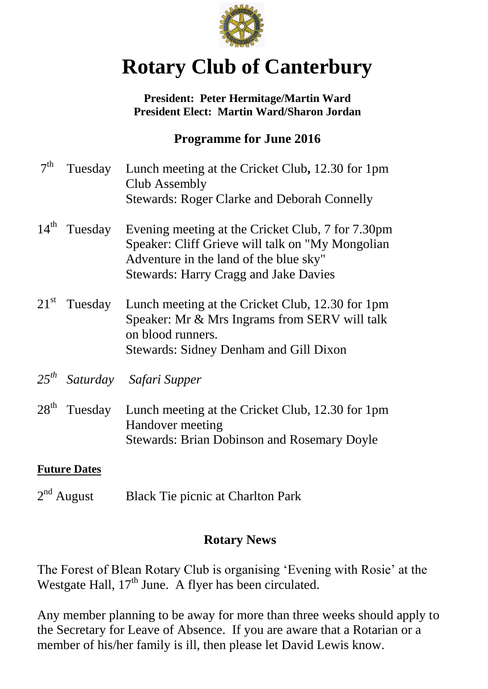

# **Rotary Club of Canterbury**

#### **President: Peter Hermitage/Martin Ward President Elect: Martin Ward/Sharon Jordan**

# **Programme for June 2016**

| 7 <sup>th</sup>     | Tuesday                  | Lunch meeting at the Cricket Club, 12.30 for 1pm<br>Club Assembly<br><b>Stewards: Roger Clarke and Deborah Connelly</b>                                                                          |
|---------------------|--------------------------|--------------------------------------------------------------------------------------------------------------------------------------------------------------------------------------------------|
|                     | $14^{\text{th}}$ Tuesday | Evening meeting at the Cricket Club, 7 for 7.30pm<br>Speaker: Cliff Grieve will talk on "My Mongolian"<br>Adventure in the land of the blue sky"<br><b>Stewards: Harry Cragg and Jake Davies</b> |
|                     |                          | 21 <sup>st</sup> Tuesday Lunch meeting at the Cricket Club, 12.30 for 1pm<br>Speaker: Mr & Mrs Ingrams from SERV will talk<br>on blood runners.<br><b>Stewards: Sidney Denham and Gill Dixon</b> |
|                     |                          | 25 <sup>th</sup> Saturday Safari Supper                                                                                                                                                          |
| $28^{\text{th}}$    | Tuesday                  | Lunch meeting at the Cricket Club, 12.30 for 1pm<br>Handover meeting<br><b>Stewards: Brian Dobinson and Rosemary Doyle</b>                                                                       |
| <b>Future Dates</b> |                          |                                                                                                                                                                                                  |

 $2<sup>nd</sup>$  August Black Tie picnic at Charlton Park

# **Rotary News**

The Forest of Blean Rotary Club is organising 'Evening with Rosie' at the Westgate Hall, 17<sup>th</sup> June. A flyer has been circulated.

Any member planning to be away for more than three weeks should apply to the Secretary for Leave of Absence. If you are aware that a Rotarian or a member of his/her family is ill, then please let David Lewis know.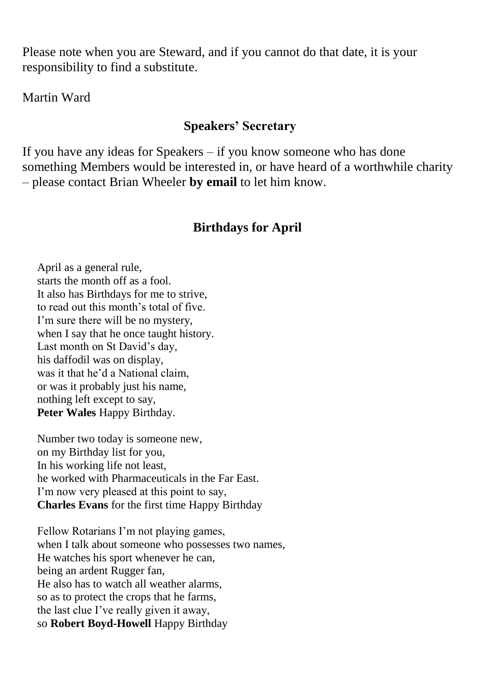Please note when you are Steward, and if you cannot do that date, it is your responsibility to find a substitute.

Martin Ward

### **Speakers' Secretary**

If you have any ideas for Speakers – if you know someone who has done something Members would be interested in, or have heard of a worthwhile charity – please contact Brian Wheeler **by email** to let him know.

## **Birthdays for April**

April as a general rule, starts the month off as a fool. It also has Birthdays for me to strive, to read out this month's total of five. I'm sure there will be no mystery, when I say that he once taught history. Last month on St David's day, his daffodil was on display, was it that he'd a National claim, or was it probably just his name, nothing left except to say, **Peter Wales** Happy Birthday.

Number two today is someone new, on my Birthday list for you, In his working life not least, he worked with Pharmaceuticals in the Far East. I'm now very pleased at this point to say, **Charles Evans** for the first time Happy Birthday

Fellow Rotarians I'm not playing games, when I talk about someone who possesses two names, He watches his sport whenever he can, being an ardent Rugger fan, He also has to watch all weather alarms, so as to protect the crops that he farms, the last clue I've really given it away, so **Robert Boyd-Howell** Happy Birthday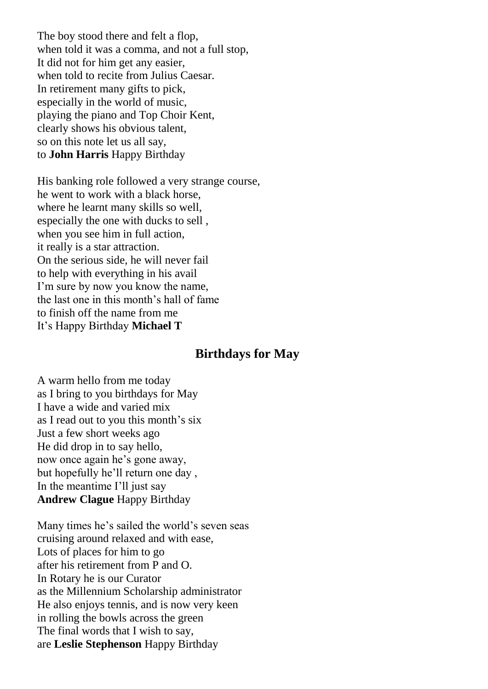The boy stood there and felt a flop, when told it was a comma, and not a full stop, It did not for him get any easier, when told to recite from Julius Caesar. In retirement many gifts to pick, especially in the world of music, playing the piano and Top Choir Kent, clearly shows his obvious talent, so on this note let us all say, to **John Harris** Happy Birthday

His banking role followed a very strange course, he went to work with a black horse, where he learnt many skills so well, especially the one with ducks to sell , when you see him in full action, it really is a star attraction. On the serious side, he will never fail to help with everything in his avail I'm sure by now you know the name, the last one in this month's hall of fame to finish off the name from me It's Happy Birthday **Michael T**

#### **Birthdays for May**

A warm hello from me today as I bring to you birthdays for May I have a wide and varied mix as I read out to you this month's six Just a few short weeks ago He did drop in to say hello, now once again he's gone away, but hopefully he'll return one day , In the meantime I'll just say **Andrew Clague** Happy Birthday

Many times he's sailed the world's seven seas cruising around relaxed and with ease, Lots of places for him to go after his retirement from P and O. In Rotary he is our Curator as the Millennium Scholarship administrator He also enjoys tennis, and is now very keen in rolling the bowls across the green The final words that I wish to say, are **Leslie Stephenson** Happy Birthday